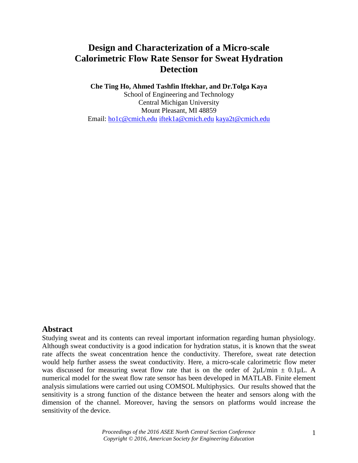# **Design and Characterization of a Micro-scale Calorimetric Flow Rate Sensor for Sweat Hydration Detection**

## **Che Ting Ho, Ahmed Tashfin Iftekhar, and Dr.Tolga Kaya**

School of Engineering and Technology Central Michigan University Mount Pleasant, MI 48859 Email: [ho1c@cmich.edu](mailto:ho1c@cmich.edu) [iftek1a@cmich.edu](mailto:iftek1a@cmich.edu) [kaya2t@cmich.edu](mailto:kaya2t@cmich.edu)

## **Abstract**

Studying sweat and its contents can reveal important information regarding human physiology. Although sweat conductivity is a good indication for hydration status, it is known that the sweat rate affects the sweat concentration hence the conductivity. Therefore, sweat rate detection would help further assess the sweat conductivity. Here, a micro-scale calorimetric flow meter was discussed for measuring sweat flow rate that is on the order of  $2\mu L/min \pm 0.1\mu L$ . A numerical model for the sweat flow rate sensor has been developed in MATLAB. Finite element analysis simulations were carried out using COMSOL Multiphysics. Our results showed that the sensitivity is a strong function of the distance between the heater and sensors along with the dimension of the channel. Moreover, having the sensors on platforms would increase the sensitivity of the device.

> *Proceedings of the 2016 ASEE North Central Section Conference Copyright © 2016, American Society for Engineering Education*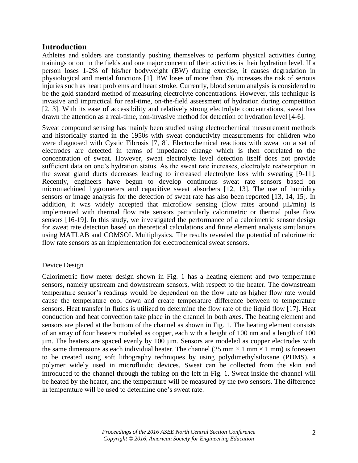## **Introduction**

Athletes and solders are constantly pushing themselves to perform physical activities during trainings or out in the fields and one major concern of their activities is their hydration level. If a person loses 1-2% of his/her bodyweight (BW) during exercise, it causes degradation in physiological and mental functions [1]. BW loses of more than 3% increases the risk of serious injuries such as heart problems and heart stroke. Currently, blood serum analysis is considered to be the gold standard method of measuring electrolyte concentrations. However, this technique is invasive and impractical for real-time, on-the-field assessment of hydration during competition [2, 3]. With its ease of accessibility and relatively strong electrolyte concentrations, sweat has drawn the attention as a real-time, non-invasive method for detection of hydration level [4-6].

Sweat compound sensing has mainly been studied using electrochemical measurement methods and historically started in the 1950s with sweat conductivity measurements for children who were diagnosed with Cystic Fibrosis [7, 8]. Electrochemical reactions with sweat on a set of electrodes are detected in terms of impedance change which is then correlated to the concentration of sweat. However, sweat electrolyte level detection itself does not provide sufficient data on one's hydration status. As the sweat rate increases, electrolyte reabsorption in the sweat gland ducts decreases leading to increased electrolyte loss with sweating [9-11]. Recently, engineers have begun to develop continuous sweat rate sensors based on micromachined hygrometers and capacitive sweat absorbers [12, 13]. The use of humidity sensors or image analysis for the detection of sweat rate has also been reported [13, 14, 15]. In addition, it was widely accepted that microflow sensing (flow rates around  $\mu$ L/min) is implemented with thermal flow rate sensors particularly calorimetric or thermal pulse flow sensors [16-19]. In this study, we investigated the performance of a calorimetric sensor design for sweat rate detection based on theoretical calculations and finite element analysis simulations using MATLAB and COMSOL Multiphysics. The results revealed the potential of calorimetric flow rate sensors as an implementation for electrochemical sweat sensors.

## Device Design

Calorimetric flow meter design shown in Fig. 1 has a heating element and two temperature sensors, namely upstream and downstream sensors, with respect to the heater. The downstream temperature sensor's readings would be dependent on the flow rate as higher flow rate would cause the temperature cool down and create temperature difference between to temperature sensors. Heat transfer in fluids is utilized to determine the flow rate of the liquid flow [17]. Heat conduction and heat convection take place in the channel in both axes. The heating element and sensors are placed at the bottom of the channel as shown in Fig. 1. The heating element consists of an array of four heaters modeled as copper, each with a height of 100 nm and a length of 100 µm. The heaters are spaced evenly by 100 µm. Sensors are modeled as copper electrodes with the same dimensions as each individual heater. The channel (25 mm  $\times$  1 mm  $\times$  1 mm) is foreseen to be created using soft lithography techniques by using polydimethylsiloxane (PDMS), a polymer widely used in microfluidic devices. Sweat can be collected from the skin and introduced to the channel through the tubing on the left in Fig. 1. Sweat inside the channel will be heated by the heater, and the temperature will be measured by the two sensors. The difference in temperature will be used to determine one's sweat rate.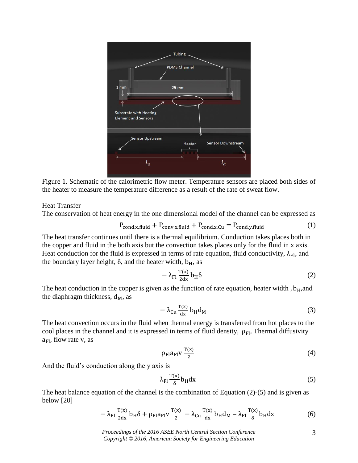

Figure 1. Schematic of the calorimetric flow meter. Temperature sensors are placed both sides of the heater to measure the temperature difference as a result of the rate of sweat flow.

#### Heat Transfer

The conservation of heat energy in the one dimensional model of the channel can be expressed as

$$
P_{\text{cond,x,fluid}} + P_{\text{conv,x,fluid}} + P_{\text{cond,x,Cu}} = P_{\text{cond,y,fluid}} \tag{1}
$$

The heat transfer continues until there is a thermal equilibrium. Conduction takes places both in the copper and fluid in the both axis but the convection takes places only for the fluid in x axis. Heat conduction for the fluid is expressed in terms of rate equation, fluid conductivity,  $\lambda_{\text{Fl}}$ , and the boundary layer height,  $\delta$ , and the heater width,  $b_H$ , as

$$
-\lambda_{\rm Fl} \frac{T(x)}{2dx} b_{\rm H} \delta \tag{2}
$$

The heat conduction in the copper is given as the function of rate equation, heater width,  $b_H$ , and the diaphragm thickness,  $d_M$ , as

$$
-\lambda_{\rm Cu}\frac{\rm T(x)}{dx}b_{\rm H}d_{\rm M}
$$
 (3)

The heat convection occurs in the fluid when thermal energy is transferred from hot places to the cool places in the channel and it is expressed in terms of fluid density,  $\rho_{Fl}$ , Thermal diffusivity  $a_{\text{Fl}}$ , flow rate v, as

$$
\rho_{\rm Fl} a_{\rm Fl} v \frac{\rm T(x)}{2} \tag{4}
$$

And the fluid's conduction along the y axis is

$$
\lambda_{\rm Fl} \frac{\rm T(x)}{\delta} b_{\rm H} \, \mathrm{d}x \tag{5}
$$

The heat balance equation of the channel is the combination of Equation (2)-(5) and is given as below [20]

$$
-\lambda_{\rm Fl} \frac{\mathbf{T}(\mathbf{x})}{2\mathrm{d}\mathbf{x}} \mathbf{b}_{\rm H} \delta + \rho_{\rm Fl} a_{\rm Fl} \mathbf{v} \frac{\mathbf{T}(\mathbf{x})}{2} - \lambda_{\rm Cu} \frac{\mathbf{T}(\mathbf{x})}{\mathrm{d}\mathbf{x}} \mathbf{b}_{\rm H} \mathbf{d}_{\rm M} = \lambda_{\rm Fl} \frac{\mathbf{T}(\mathbf{x})}{\delta} \mathbf{b}_{\rm H} \mathbf{d}\mathbf{x} \tag{6}
$$

*Proceedings of the 2016 ASEE North Central Section Conference Copyright © 2016, American Society for Engineering Education*

3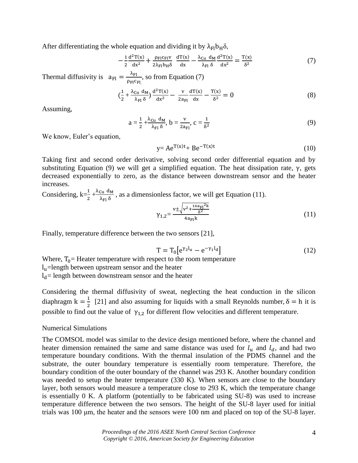After differentiating the whole equation and dividing it by  $\lambda_{\text{Fl}}b_{\text{H}}\delta$ ,

$$
-\frac{1}{2}\frac{\mathrm{d}^2\mathrm{T}(x)}{\mathrm{d}x^2} + \frac{\rho_{\mathrm{Fl}}c_{\mathrm{Fl}}v}{2\lambda_{\mathrm{Fl}}b_{\mathrm{H}}\delta} \frac{\mathrm{d}\mathrm{T}(x)}{\mathrm{d}x} - \frac{\lambda_{\mathrm{Cu}}\,\mathrm{d}_{\mathrm{M}}}{\lambda_{\mathrm{Fl}}\,\delta} \frac{\mathrm{d}^2\mathrm{T}(x)}{\mathrm{d}x^2} = \frac{\mathrm{T}(x)}{\delta^2} \tag{7}
$$

Thermal diffusivity is  $a_{\text{Fl}} = \frac{\lambda_{\text{Fl}}}{2 \pi G}$ ρ<sub>Fl</sub>c<sub>Fl.</sub> , so from Equation (7)

$$
\left(\frac{1}{2} + \frac{\lambda_{\text{Cu}} \, \mathbf{d}_{\text{M}}}{\lambda_{\text{FI}} \, \delta}\right) \frac{\mathbf{d}^2 \mathbf{T}(\mathbf{x})}{\mathbf{d}\mathbf{x}^2} - \frac{\mathbf{v}}{2\mathbf{a}_{\text{FI}} \, \mathbf{d}\mathbf{x}} - \frac{\mathbf{T}(\mathbf{x})}{\delta^2} = 0 \tag{8}
$$

Assuming,

$$
a = \frac{1}{2} + \frac{\lambda_{\text{Cu}} d_M}{\lambda_{\text{FI}} \delta}, b = \frac{v}{2a_{\text{FI}}}, c = \frac{1}{\delta^2}
$$
(9)

We know, Euler's equation,

$$
y = Ae^{T(x)t} + Be^{-T(x)t}
$$
 (10)

Taking first and second order derivative, solving second order differential equation and by substituting Equation (9) we will get a simplified equation. The heat dissipation rate,  $\gamma$ , gets decreased exponentially to zero, as the distance between downstream sensor and the heater increases.

Considering,  $k=\frac{1}{2} + \frac{\lambda_{\text{Cu}}}{\lambda_{\text{FI}} \delta}$  $\frac{\text{Cu} \cdot \text{M}}{\lambda_{F1} \delta}$ , as a dimensionless factor, we will get Equation (11).

$$
\gamma_{1,2} = \frac{v \pm \sqrt{v^2 + \frac{16a_{\text{FI}}^2 k}{\delta^2}}}{4a_{\text{FI}} k} \tag{11}
$$

Finally, temperature difference between the two sensors [21],

$$
T = T_0 \left[ e^{\gamma_2 l_u} - e^{-\gamma_1 l_d} \right] \tag{12}
$$

Where,  $T_0$  = Heater temperature with respect to the room temperature lu=length between upstream sensor and the heater  $l_d$ = length between downstream sensor and the heater

Considering the thermal diffusivity of sweat, neglecting the heat conduction in the silicon diaphragm  $k = \frac{1}{2}$  $\frac{1}{2}$  [21] and also assuming for liquids with a small Reynolds number,  $\delta = h$  it is possible to find out the value of  $\gamma_{1,2}$  for different flow velocities and different temperature.

#### Numerical Simulations

The COMSOL model was similar to the device design mentioned before, where the channel and heater dimension remained the same and same distance was used for  $l_u$  and  $l_d$ , and had two temperature boundary conditions. With the thermal insulation of the PDMS channel and the substrate, the outer boundary temperature is essentially room temperature. Therefore, the boundary condition of the outer boundary of the channel was 293 K. Another boundary condition was needed to setup the heater temperature (330 K). When sensors are close to the boundary layer, both sensors would measure a temperature close to 293 K, which the temperature change is essentially 0 K. A platform (potentially to be fabricated using SU-8) was used to increase temperature difference between the two sensors. The height of the SU-8 layer used for initial trials was 100 μm, the heater and the sensors were 100 nm and placed on top of the SU-8 layer.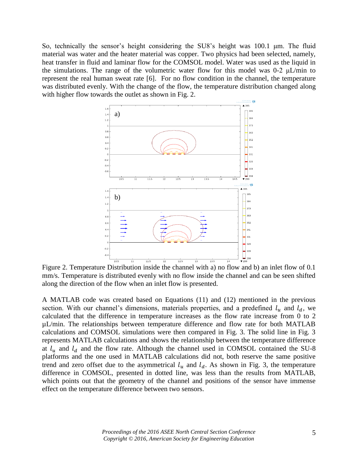So, technically the sensor's height considering the SU8's height was 100.1 μm. The fluid material was water and the heater material was copper. Two physics had been selected, namely, heat transfer in fluid and laminar flow for the COMSOL model. Water was used as the liquid in the simulations. The range of the volumetric water flow for this model was  $0-2 \mu L/min$  to represent the real human sweat rate [6]. For no flow condition in the channel, the temperature was distributed evenly. With the change of the flow, the temperature distribution changed along with higher flow towards the outlet as shown in Fig. 2.



Figure 2. Temperature Distribution inside the channel with a) no flow and b) an inlet flow of 0.1 mm/s. Temperature is distributed evenly with no flow inside the channel and can be seen shifted along the direction of the flow when an inlet flow is presented.

A MATLAB code was created based on Equations (11) and (12) mentioned in the previous section. With our channel's dimensions, materials properties, and a predefined  $l_u$  and  $l_d$ , we calculated that the difference in temperature increases as the flow rate increase from 0 to 2 µL/min. The relationships between temperature difference and flow rate for both MATLAB calculations and COMSOL simulations were then compared in Fig. 3. The solid line in Fig. 3 represents MATLAB calculations and shows the relationship between the temperature difference at  $l_u$  and  $l_d$  and the flow rate. Although the channel used in COMSOL contained the SU-8 platforms and the one used in MATLAB calculations did not, both reserve the same positive trend and zero offset due to the asymmetrical  $l_u$  and  $l_d$ . As shown in Fig. 3, the temperature difference in COMSOL, presented in dotted line, was less than the results from MATLAB, which points out that the geometry of the channel and positions of the sensor have immense effect on the temperature difference between two sensors.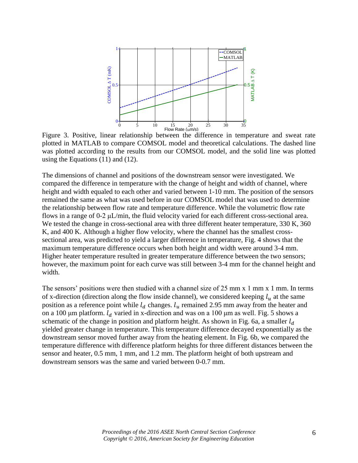

Figure 3. Positive, linear relationship between the difference in temperature and sweat rate plotted in MATLAB to compare COMSOL model and theoretical calculations. The dashed line was plotted according to the results from our COMSOL model, and the solid line was plotted using the Equations (11) and (12).

The dimensions of channel and positions of the downstream sensor were investigated. We compared the difference in temperature with the change of height and width of channel, where height and width equaled to each other and varied between 1-10 mm. The position of the sensors remained the same as what was used before in our COMSOL model that was used to determine the relationship between flow rate and temperature difference. While the volumetric flow rate flows in a range of 0-2 μL/min, the fluid velocity varied for each different cross-sectional area. We tested the change in cross-sectional area with three different heater temperature, 330 K, 360 K, and 400 K. Although a higher flow velocity, where the channel has the smallest crosssectional area, was predicted to yield a larger difference in temperature, Fig. 4 shows that the maximum temperature difference occurs when both height and width were around 3-4 mm. Higher heater temperature resulted in greater temperature difference between the two sensors; however, the maximum point for each curve was still between 3-4 mm for the channel height and width.

The sensors' positions were then studied with a channel size of 25 mm x 1 mm x 1 mm. In terms of x-direction (direction along the flow inside channel), we considered keeping  $l_u$  at the same position as a reference point while  $l_d$  changes.  $l_u$  remained 2.95 mm away from the heater and on a 100 μm platform.  $l_d$  varied in x-direction and was on a 100 μm as well. Fig. 5 shows a schematic of the change in position and platform height. As shown in Fig. 6a, a smaller  $l_d$ yielded greater change in temperature. This temperature difference decayed exponentially as the downstream sensor moved further away from the heating element. In Fig. 6b, we compared the temperature difference with difference platform heights for three different distances between the sensor and heater, 0.5 mm, 1 mm, and 1.2 mm. The platform height of both upstream and downstream sensors was the same and varied between 0-0.7 mm.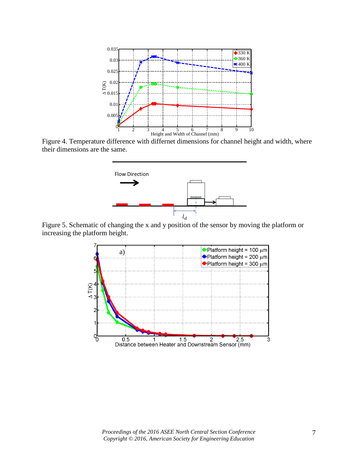

Figure 4. Temperature difference with differnet dimensions for channel height and width, where their dimensions are the same.



Figure 5. Schematic of changing the x and y position of the sensor by moving the platform or increasing the platform height.

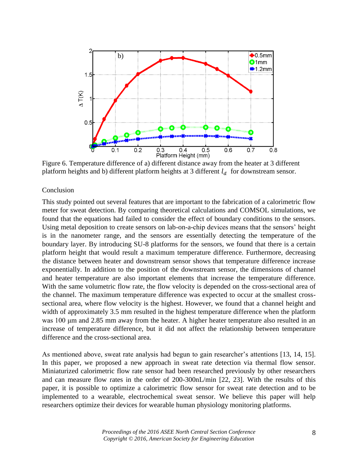

Figure 6. Temperature difference of a) different distance away from the heater at 3 different platform heights and b) different platform heights at 3 different  $l_d$  for downstream sensor.

### Conclusion

This study pointed out several features that are important to the fabrication of a calorimetric flow meter for sweat detection. By comparing theoretical calculations and COMSOL simulations, we found that the equations had failed to consider the effect of boundary conditions to the sensors. Using metal deposition to create sensors on lab-on-a-chip devices means that the sensors' height is in the nanometer range, and the sensors are essentially detecting the temperature of the boundary layer. By introducing SU-8 platforms for the sensors, we found that there is a certain platform height that would result a maximum temperature difference. Furthermore, decreasing the distance between heater and downstream sensor shows that temperature difference increase exponentially. In addition to the position of the downstream sensor, the dimensions of channel and heater temperature are also important elements that increase the temperature difference. With the same volumetric flow rate, the flow velocity is depended on the cross-sectional area of the channel. The maximum temperature difference was expected to occur at the smallest crosssectional area, where flow velocity is the highest. However, we found that a channel height and width of approximately 3.5 mm resulted in the highest temperature difference when the platform was 100 μm and 2.85 mm away from the heater. A higher heater temperature also resulted in an increase of temperature difference, but it did not affect the relationship between temperature difference and the cross-sectional area.

As mentioned above, sweat rate analysis had begun to gain researcher's attentions [13, 14, 15]. In this paper, we proposed a new approach in sweat rate detection via thermal flow sensor. Miniaturized calorimetric flow rate sensor had been researched previously by other researchers and can measure flow rates in the order of 200-300nL/min [22, 23]. With the results of this paper, it is possible to optimize a calorimetric flow sensor for sweat rate detection and to be implemented to a wearable, electrochemical sweat sensor. We believe this paper will help researchers optimize their devices for wearable human physiology monitoring platforms.